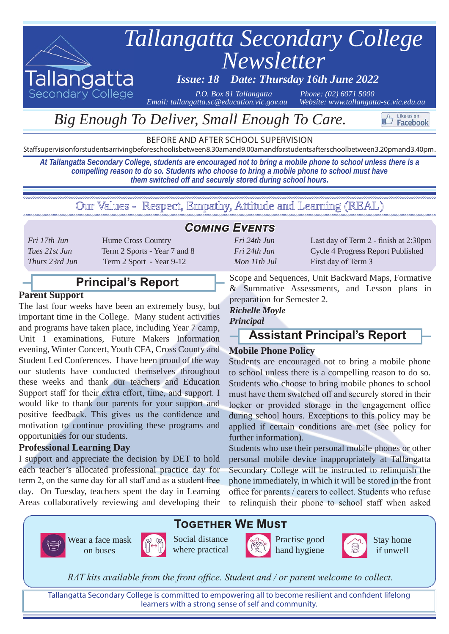

# *Big Enough To Deliver, Small Enough To Care.*

BEFORE AND AFTER SCHOOL SUPERVISION

Staff supervision for students arriving before school is between 8.30am and 9.00am and for students after school between 3.20pm and 3.40pm.

*At Tallangatta Secondary College, students are encouraged not to bring a mobile phone to school unless there is a compelling reason to do so. Students who choose to bring a mobile phone to school must have them switched off and securely stored during school hours.*

Our Values - Respect, Empathy, Attitude and Learning (REAL)

*Fri 17th Jun* **Hume Cross Country** *Tues 21st Jun* Term 2 Sports - Year 7 and 8 *Thurs 23rd Jun* Term 2 Sport - Year 9-12

## **Principal's Report**

#### **Parent Support**

The last four weeks have been an extremely busy, but important time in the College. Many student activities and programs have taken place, including Year 7 camp, Unit 1 examinations, Future Makers Information evening, Winter Concert, Youth CFA, Cross County and Student Led Conferences. I have been proud of the way our students have conducted themselves throughout these weeks and thank our teachers and Education Support staff for their extra effort, time, and support. I would like to thank our parents for your support and positive feedback. This gives us the confidence and motivation to continue providing these programs and opportunities for our students.

#### **Professional Learning Day**

I support and appreciate the decision by DET to hold each teacher's allocated professional practice day for term 2, on the same day for all staff and as a student free day. On Tuesday, teachers spent the day in Learning Areas collaboratively reviewing and developing their

on buses

#### *Coming Events*

*Mon 11th Jul* First day of Term 3

*Fri 24th Jun* Last day of Term 2 - finish at 2:30pm *Fri 24th Jun* Cycle 4 Progress Report Published

Like us on Facebook

Scope and Sequences, Unit Backward Maps, Formative & Summative Assessments, and Lesson plans in preparation for Semester 2.

#### *Richelle Moyle Principal*

## **Assistant Principal's Report**

#### **Mobile Phone Policy**

Students are encouraged not to bring a mobile phone to school unless there is a compelling reason to do so. Students who choose to bring mobile phones to school must have them switched off and securely stored in their locker or provided storage in the engagement office during school hours. Exceptions to this policy may be applied if certain conditions are met (see policy for further information).

Students who use their personal mobile phones or other personal mobile device inappropriately at Tallangatta Secondary College will be instructed to relinquish the phone immediately, in which it will be stored in the front office for parents / carers to collect. Students who refuse to relinquish their phone to school staff when asked

#### **Together We Must**

Wear a face mask



Practise good hand hygiene



Stay home if unwell

*RAT kits available from the front office. Student and / or parent welcome to collect.*

Tallangatta Secondary College is committed to empowering all to become resilient and confident lifelong learners with a strong sense of self and community.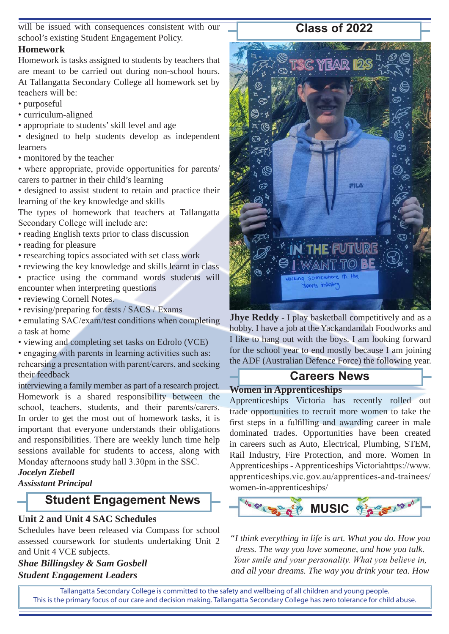will be issued with consequences consistent with our school's existing Student Engagement Policy.

#### **Homework**

Homework is tasks assigned to students by teachers that are meant to be carried out during non-school hours. At Tallangatta Secondary College all homework set by teachers will be:

- purposeful
- curriculum-aligned
- appropriate to students' skill level and age

• designed to help students develop as independent learners

• monitored by the teacher

• where appropriate, provide opportunities for parents/ carers to partner in their child's learning

• designed to assist student to retain and practice their learning of the key knowledge and skills

The types of homework that teachers at Tallangatta Secondary College will include are:

- reading English texts prior to class discussion
- reading for pleasure
- researching topics associated with set class work
- reviewing the key knowledge and skills learnt in class

• practice using the command words students will encounter when interpreting questions

- reviewing Cornell Notes.
- revising/preparing for tests / SACS / Exams

• emulating SAC/exam/test conditions when completing a task at home

• viewing and completing set tasks on Edrolo (VCE)

• engaging with parents in learning activities such as: rehearsing a presentation with parent/carers, and seeking their feedback

interviewing a family member as part of a research project. Homework is a shared responsibility between the school, teachers, students, and their parents/carers. In order to get the most out of homework tasks, it is important that everyone understands their obligations and responsibilities. There are weekly lunch time help sessions available for students to access, along with Monday afternoons study hall 3.30pm in the SSC.

# *Jocelyn Ziebell*

#### *Assisstant Principal*

# **Student Engagement News**

#### **Unit 2 and Unit 4 SAC Schedules**

Schedules have been released via Compass for school assessed coursework for students undertaking Unit 2 and Unit 4 VCE subjects.

*Shae Billingsley & Sam Gosbell Student Engagement Leaders*



**Jhye Reddy** - I play basketball competitively and as a hobby. I have a job at the Yackandandah Foodworks and I like to hang out with the boys. I am looking forward for the school year to end mostly because I am joining the ADF (Australian Defence Force) the following year.

# **Careers News**

#### **Women in Apprenticeships**

Apprenticeships Victoria has recently rolled out trade opportunities to recruit more women to take the first steps in a fulfilling and awarding career in male dominated trades. Opportunities have been created in careers such as Auto, Electrical, Plumbing, STEM, Rail Industry, Fire Protection, and more. Women In Apprenticeships - Apprenticeships Victoriahttps://www. apprenticeships.vic.gov.au/apprentices-and-trainees/ women-in-apprenticeships/



*"I think everything in life is art. What you do. How you dress. The way you love someone, and how you talk. Your smile and your personality. What you believe in, and all your dreams. The way you drink your tea. How* 

Tallangatta Secondary College is committed to the safety and wellbeing of all children and young people. This is the primary focus of our care and decision making. Tallangatta Secondary College has zero tolerance for child abuse.

# **Class of 2022**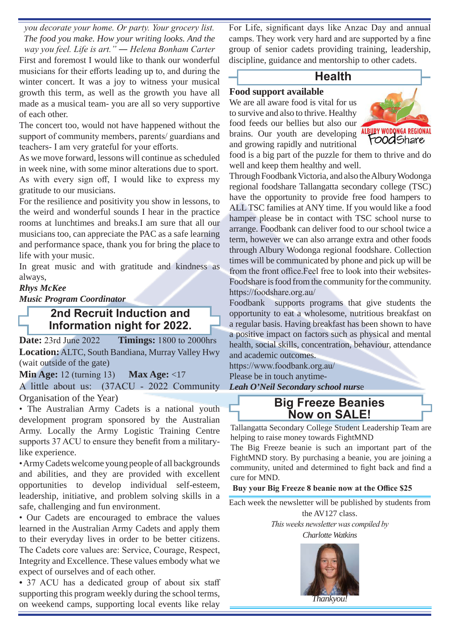*you decorate your home. Or party. Your grocery list. The food you make. How your writing looks. And the way you feel. Life is art." ― Helena Bonham Carter* First and foremost I would like to thank our wonderful musicians for their efforts leading up to, and during the winter concert. It was a joy to witness your musical growth this term, as well as the growth you have all made as a musical team- you are all so very supportive of each other.

The concert too, would not have happened without the support of community members, parents/ guardians and teachers- I am very grateful for your efforts.

As we move forward, lessons will continue as scheduled in week nine, with some minor alterations due to sport. As with every sign off, I would like to express my gratitude to our musicians.

For the resilience and positivity you show in lessons, to the weird and wonderful sounds I hear in the practice rooms at lunchtimes and breaks.I am sure that all our musicians too, can appreciate the PAC as a safe learning and performance space, thank you for bring the place to life with your music.

In great music and with gratitude and kindness as always,

#### *Rhys McKee*

*Music Program Coordinator* 

#### **2nd Recruit Induction and Information night for 2022.**

**Date:** 23rd June 2022 **Timings:** 1800 to 2000hrs **Location:** ALTC, South Bandiana, Murray Valley Hwy (wait outside of the gate)

**Min Age:** 12 (turning 13) **Max Age:** <17 A little about us: (37ACU - 2022 Community Organisation of the Year)

• The Australian Army Cadets is a national youth development program sponsored by the Australian Army. Locally the Army Logistic Training Centre supports 37 ACU to ensure they benefit from a militarylike experience.

• Army Cadets welcome young people of all backgrounds and abilities, and they are provided with excellent opportunities to develop individual self-esteem, leadership, initiative, and problem solving skills in a safe, challenging and fun environment.

• Our Cadets are encouraged to embrace the values learned in the Australian Army Cadets and apply them to their everyday lives in order to be better citizens. The Cadets core values are: Service, Courage, Respect, Integrity and Excellence. These values embody what we expect of ourselves and of each other.

*•* 37 ACU has a dedicated group of about six staff supporting this program weekly during the school terms, on weekend camps, supporting local events like relay For Life, significant days like Anzac Day and annual camps. They work very hard and are supported by a fine group of senior cadets providing training, leadership, discipline, guidance and mentorship to other cadets.

#### **Health**

#### **Food support available**

We are all aware food is vital for us to survive and also to thrive. Healthy food feeds our bellies but also our brains. Our youth are developing and growing rapidly and nutritional



food is a big part of the puzzle for them to thrive and do well and keep them healthy and well.

Through Foodbank Victoria, and also the Albury Wodonga regional foodshare Tallangatta secondary college (TSC) have the opportunity to provide free food hampers to ALL TSC families at ANY time. If you would like a food hamper please be in contact with TSC school nurse to arrange. Foodbank can deliver food to our school twice a term, however we can also arrange extra and other foods through Albury Wodonga regional foodshare. Collection times will be communicated by phone and pick up will be from the front office.Feel free to look into their websites-Foodshare is food from the community for the community. https://foodshare.org.au/

Foodbank supports programs that give students the opportunity to eat a wholesome, nutritious breakfast on a regular basis. Having breakfast has been shown to have a positive impact on factors such as physical and mental health, social skills, concentration, behaviour, attendance and academic outcomes.

https://www.foodbank.org.au/ Please be in touch anytime-*Leah O'Neil Secondary school nurs*e

> **Big Freeze Beanies Now on SALE!**

Tallangatta Secondary College Student Leadership Team are helping to raise money towards FightMND

The Big Freeze beanie is such an important part of the FightMND story. By purchasing a beanie, you are joining a community, united and determined to fight back and find a cure for MND.

**Buy your Big Freeze 8 beanie now at the Office \$25**

Each week the newsletter will be published by students from the AV127 class.

*This weeks newsletter was compiled by* 

*Charlotte Watkins*

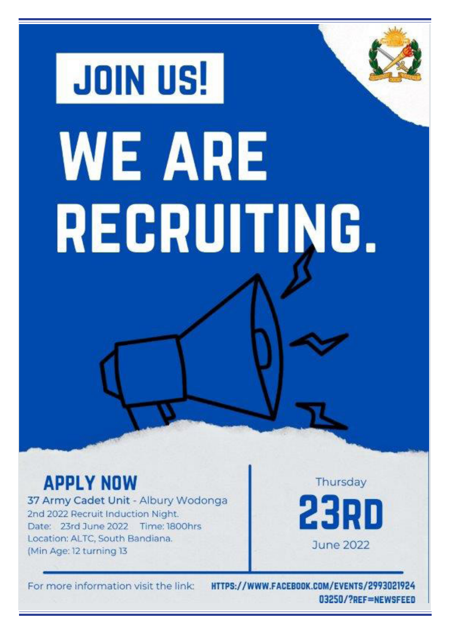# **JOIN US! WE ARE** RECRUITING.

# **APPLY NOW**

37 Army Cadet Unit - Albury Wodonga 2nd 2022 Recruit Induction Night. Date: 23rd June 2022 Time: 1800hrs Location: ALTC, South Bandiana. (Min Age: 12 turning 13

Thursday 23RD June 2022

For more information visit the link:

HTTPS://WWW.FACEBOOK.COM/EVENTS/2993021924 03250/?REF=NEWSFEED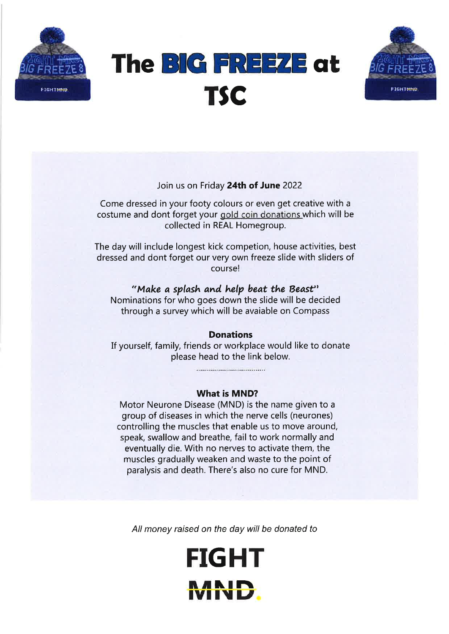





#### Join us on Friday 24th of June 2022

Come dressed in your footy colours or even get creative with a costume and dont forget your gold coin donations which will be collected in REAL Homegroup.

The day will include longest kick competion, house activities, best dressed and dont forget our very own freeze slide with sliders of course!

#### "Make a splash and help beat the Beast"

Nominations for who goes down the slide will be decided through a survey which will be avaiable on Compass

#### Donations

If yourself, family, friends or workplace would like to donate please head to the link below.

................................

#### What is MND?

Motor Neurone Disease (MND) is the name given to <sup>a</sup> group of diseases in which the nerve cells (neurones) controlling the muscles that enable us to move around, speak, swallow and breathe, fail to work normally and eventually die. With no nerves to activate them, the muscles gradually weaken and waste to the point of paralysis and death. There's also no cure for MND.

All money raised on the day will be donated to